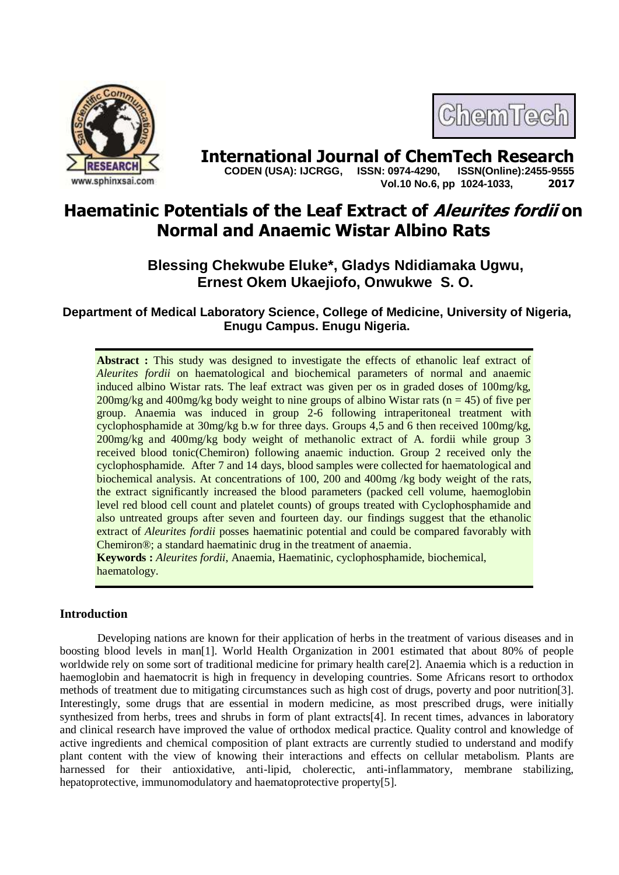



**International Journal of ChemTech Research Copen (USA): IJCRGG. ISSN: 0974-4290. ISSN(Online):2455-9555 CODEN (USA): IJCRGG, ISSN: 0974-4290, Vol.10 No.6, pp 1024-1033, 2017**

# **Haematinic Potentials of the Leaf Extract of Aleurites fordii on Normal and Anaemic Wistar Albino Rats**

## **Blessing Chekwube Eluke\*, Gladys Ndidiamaka Ugwu, Ernest Okem Ukaejiofo, Onwukwe S. O.**

**Department of Medical Laboratory Science, College of Medicine, University of Nigeria, Enugu Campus. Enugu Nigeria.**

**Abstract :** This study was designed to investigate the effects of ethanolic leaf extract of *Aleurites fordii* on haematological and biochemical parameters of normal and anaemic induced albino Wistar rats. The leaf extract was given per os in graded doses of 100mg/kg, 200mg/kg and 400mg/kg body weight to nine groups of albino Wistar rats ( $n = 45$ ) of five per group. Anaemia was induced in group 2-6 following intraperitoneal treatment with cyclophosphamide at 30mg/kg b.w for three days. Groups 4,5 and 6 then received 100mg/kg, 200mg/kg and 400mg/kg body weight of methanolic extract of A. fordii while group 3 received blood tonic(Chemiron) following anaemic induction. Group 2 received only the cyclophosphamide. After 7 and 14 days, blood samples were collected for haematological and biochemical analysis. At concentrations of 100, 200 and 400mg /kg body weight of the rats, the extract significantly increased the blood parameters (packed cell volume, haemoglobin level red blood cell count and platelet counts) of groups treated with Cyclophosphamide and also untreated groups after seven and fourteen day. our findings suggest that the ethanolic extract of *Aleurites fordii* posses haematinic potential and could be compared favorably with Chemiron®; a standard haematinic drug in the treatment of anaemia.

**Keywords :** *Aleurites fordii*, Anaemia, Haematinic, cyclophosphamide, biochemical, haematology.

## **Introduction**

Developing nations are known for their application of herbs in the treatment of various diseases and in boosting blood levels in man[1]. World Health Organization in 2001 estimated that about 80% of people worldwide rely on some sort of traditional medicine for primary health care[2]. Anaemia which is a reduction in haemoglobin and haematocrit is high in frequency in developing countries. Some Africans resort to orthodox methods of treatment due to mitigating circumstances such as high cost of drugs, poverty and poor nutrition[3]. Interestingly, some drugs that are essential in modern medicine, as most prescribed drugs, were initially synthesized from herbs, trees and shrubs in form of plant extracts[4]. In recent times, advances in laboratory and clinical research have improved the value of orthodox medical practice. Quality control and knowledge of active ingredients and chemical composition of plant extracts are currently studied to understand and modify plant content with the view of knowing their interactions and effects on cellular metabolism. Plants are harnessed for their antioxidative, anti-lipid, cholerectic, anti-inflammatory, membrane stabilizing, hepatoprotective, immunomodulatory and haematoprotective property[5].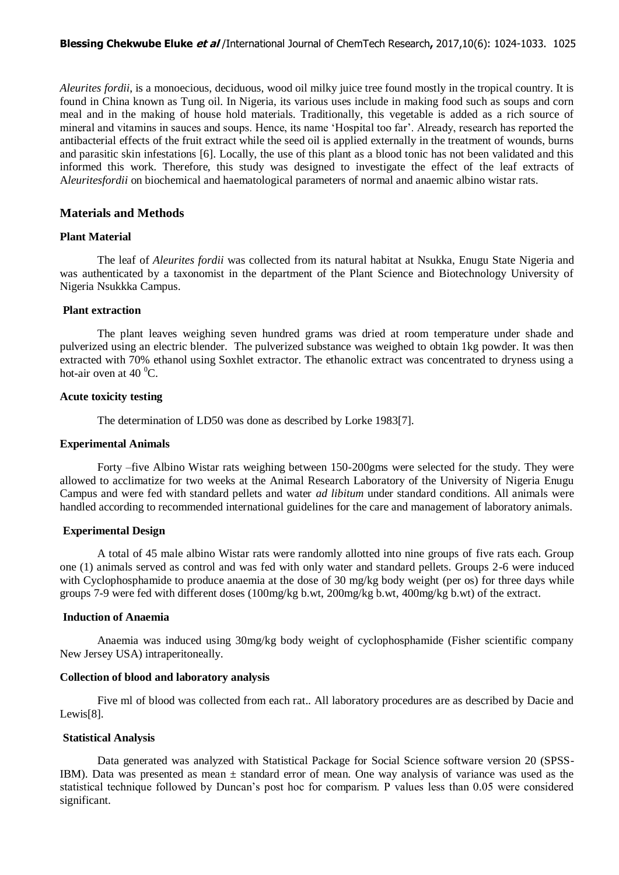*Aleurites fordii*, is a monoecious, deciduous, wood oil milky juice tree found mostly in the tropical country. It is found in China known as Tung oil. In Nigeria, its various uses include in making food such as soups and corn meal and in the making of house hold materials. Traditionally, this vegetable is added as a rich source of mineral and vitamins in sauces and soups. Hence, its name 'Hospital too far'. Already, research has reported the antibacterial effects of the fruit extract while the seed oil is applied externally in the treatment of wounds, burns and parasitic skin infestations [6]. Locally, the use of this plant as a blood tonic has not been validated and this informed this work. Therefore, this study was designed to investigate the effect of the leaf extracts of A*leuritesfordii* on biochemical and haematological parameters of normal and anaemic albino wistar rats.

#### **Materials and Methods**

#### **Plant Material**

The leaf of *Aleurites fordii* was collected from its natural habitat at Nsukka, Enugu State Nigeria and was authenticated by a taxonomist in the department of the Plant Science and Biotechnology University of Nigeria Nsukkka Campus.

#### **Plant extraction**

The plant leaves weighing seven hundred grams was dried at room temperature under shade and pulverized using an electric blender. The pulverized substance was weighed to obtain 1kg powder. It was then extracted with 70% ethanol using Soxhlet extractor. The ethanolic extract was concentrated to dryness using a hot-air oven at  $40<sup>0</sup>C$ .

#### **Acute toxicity testing**

The determination of LD50 was done as described by Lorke 1983[7].

#### **Experimental Animals**

Forty –five Albino Wistar rats weighing between 150-200gms were selected for the study. They were allowed to acclimatize for two weeks at the Animal Research Laboratory of the University of Nigeria Enugu Campus and were fed with standard pellets and water *ad libitum* under standard conditions. All animals were handled according to recommended international guidelines for the care and management of laboratory animals.

#### **Experimental Design**

A total of 45 male albino Wistar rats were randomly allotted into nine groups of five rats each. Group one (1) animals served as control and was fed with only water and standard pellets. Groups 2-6 were induced with Cyclophosphamide to produce anaemia at the dose of 30 mg/kg body weight (per os) for three days while groups 7-9 were fed with different doses (100mg/kg b.wt, 200mg/kg b.wt, 400mg/kg b.wt) of the extract.

#### **Induction of Anaemia**

Anaemia was induced using 30mg/kg body weight of cyclophosphamide (Fisher scientific company New Jersey USA) intraperitoneally.

## **Collection of blood and laboratory analysis**

Five ml of blood was collected from each rat.. All laboratory procedures are as described by Dacie and Lewis[8].

#### **Statistical Analysis**

Data generated was analyzed with Statistical Package for Social Science software version 20 (SPSS-IBM). Data was presented as mean ± standard error of mean. One way analysis of variance was used as the statistical technique followed by Duncan's post hoc for comparism. P values less than 0.05 were considered significant.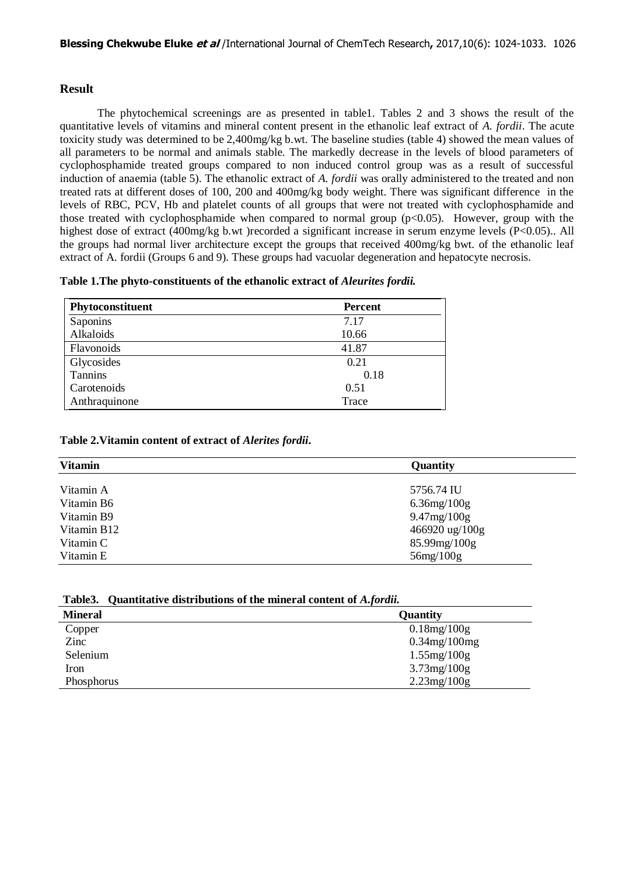## **Result**

The phytochemical screenings are as presented in table1. Tables 2 and 3 shows the result of the quantitative levels of vitamins and mineral content present in the ethanolic leaf extract of *A. fordii*. The acute toxicity study was determined to be 2,400mg/kg b.wt. The baseline studies (table 4) showed the mean values of all parameters to be normal and animals stable. The markedly decrease in the levels of blood parameters of cyclophosphamide treated groups compared to non induced control group was as a result of successful induction of anaemia (table 5). The ethanolic extract of *A. fordii* was orally administered to the treated and non treated rats at different doses of 100, 200 and 400mg/kg body weight. There was significant difference in the levels of RBC, PCV, Hb and platelet counts of all groups that were not treated with cyclophosphamide and those treated with cyclophosphamide when compared to normal group  $(p<0.05)$ . However, group with the highest dose of extract (400mg/kg b.wt) recorded a significant increase in serum enzyme levels (P<0.05).. All the groups had normal liver architecture except the groups that received 400mg/kg bwt. of the ethanolic leaf extract of A. fordii (Groups 6 and 9). These groups had vacuolar degeneration and hepatocyte necrosis.

| Table 1. The phyto-constituents of the ethanolic extract of Aleurites fordii. |
|-------------------------------------------------------------------------------|
|-------------------------------------------------------------------------------|

| Phytoconstituent | <b>Percent</b> |
|------------------|----------------|
| Saponins         | 7.17           |
| Alkaloids        | 10.66          |
| Flavonoids       | 41.87          |
| Glycosides       | 0.21           |
| Tannins          | 0.18           |
| Carotenoids      | 0.51           |
| Anthraquinone    | Trace          |

## **Table 2.Vitamin content of extract of** *Alerites fordii***.**

| <b>Vitamin</b> | Quantity           |
|----------------|--------------------|
|                |                    |
| Vitamin A      | 5756.74 IU         |
| Vitamin B6     | $6.36$ mg/ $100$ g |
| Vitamin B9     | 9.47mg/100g        |
| Vitamin B12    | 466920 ug/100g     |
| Vitamin C      | 85.99mg/100g       |
| Vitamin E      | $56$ mg $/100$ g   |

|  | Table3. Quantitative distributions of the mineral content of <i>A.fordii.</i> |  |  |  |  |  |
|--|-------------------------------------------------------------------------------|--|--|--|--|--|
|--|-------------------------------------------------------------------------------|--|--|--|--|--|

| <b>Mineral</b> | Quantity           |
|----------------|--------------------|
| Copper         | $0.18$ mg/ $100$ g |
| Zinc           | $0.34$ mg/100mg    |
| Selenium       | $1.55$ mg/ $100$ g |
| Iron           | $3.73$ mg/ $100$ g |
| Phosphorus     | $2.23$ mg/ $100g$  |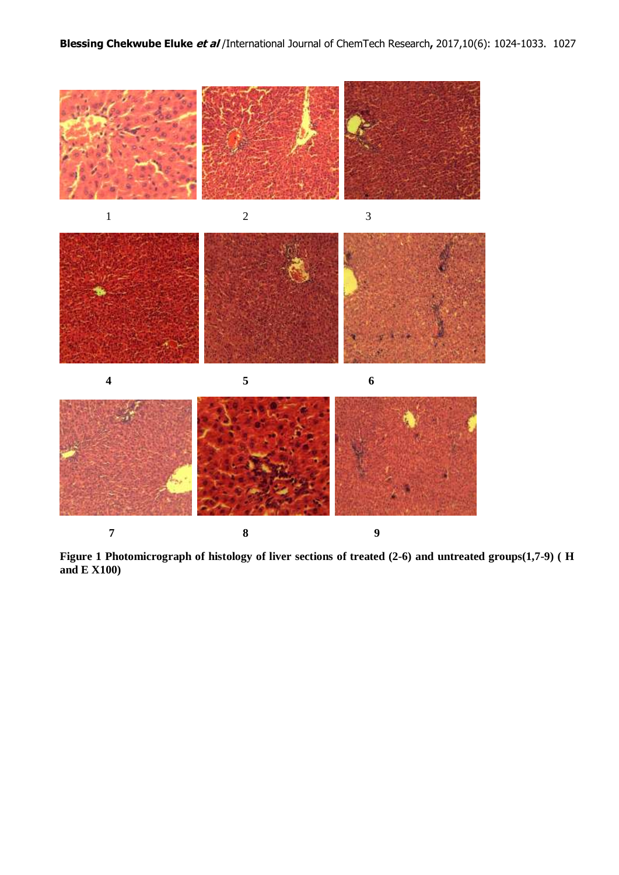

**1 8** 9

**Figure 1 Photomicrograph of histology of liver sections of treated (2-6) and untreated groups(1,7-9) ( H and E X100)**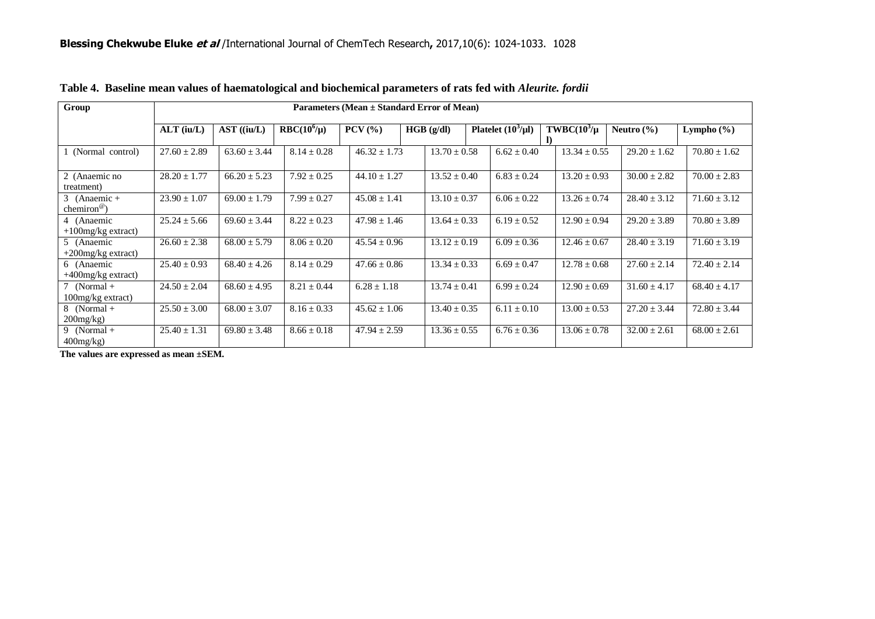| Group                                   | Parameters (Mean ± Standard Error of Mean) |                  |                 |                                  |                  |                         |                  |                  |                  |  |  |
|-----------------------------------------|--------------------------------------------|------------------|-----------------|----------------------------------|------------------|-------------------------|------------------|------------------|------------------|--|--|
|                                         |                                            |                  |                 |                                  |                  |                         |                  |                  |                  |  |  |
|                                         | $ALT$ (iu/L)                               | $AST$ ((iu/L)    | $RBC(10^6/\mu)$ | $PCV$ $\left(\frac{9}{6}\right)$ | HGB (g/dl)       | Platelet $(10^3/\mu l)$ | $TWBC(103/\mu$   | Neutro $(\% )$   | Lympho $(\% )$   |  |  |
|                                         |                                            |                  |                 |                                  |                  |                         |                  |                  |                  |  |  |
| 1 (Normal control)                      | $27.60 \pm 2.89$                           | $63.60 \pm 3.44$ | $8.14 \pm 0.28$ | $46.32 \pm 1.73$                 | $13.70 \pm 0.58$ | $6.62 \pm 0.40$         | $13.34 \pm 0.55$ | $29.20 \pm 1.62$ | $70.80 \pm 1.62$ |  |  |
| 2 (Anaemic no                           | $28.20 \pm 1.77$                           | $66.20 \pm 5.23$ | $7.92 \pm 0.25$ | $44.10 \pm 1.27$                 | $13.52 \pm 0.40$ | $6.83 \pm 0.24$         | $13.20 \pm 0.93$ | $30.00 \pm 2.82$ | $70.00 \pm 2.83$ |  |  |
| treatment)                              |                                            |                  |                 |                                  |                  |                         |                  |                  |                  |  |  |
| 3 (Anaemic +<br>chemiron <sup>®</sup> ) | $23.90 \pm 1.07$                           | $69.00 \pm 1.79$ | $7.99 \pm 0.27$ | $45.08 \pm 1.41$                 | $13.10 \pm 0.37$ | $6.06 \pm 0.22$         | $13.26 \pm 0.74$ | $28.40 \pm 3.12$ | $71.60 \pm 3.12$ |  |  |
| 4 (Anaemic                              | $25.24 \pm 5.66$                           | $69.60 \pm 3.44$ | $8.22 \pm 0.23$ | $47.98 \pm 1.46$                 | $13.64 \pm 0.33$ | $6.19 \pm 0.52$         | $12.90 \pm 0.94$ | $29.20 \pm 3.89$ | $70.80 \pm 3.89$ |  |  |
| $+100$ mg/kg extract)                   |                                            |                  |                 |                                  |                  |                         |                  |                  |                  |  |  |
| 5 (Anaemic<br>$+200$ mg/kg extract)     | $26.60 \pm 2.38$                           | $68.00 \pm 5.79$ | $8.06 \pm 0.20$ | $45.54 \pm 0.96$                 | $13.12 \pm 0.19$ | $6.09 \pm 0.36$         | $12.46 \pm 0.67$ | $28.40 \pm 3.19$ | $71.60 \pm 3.19$ |  |  |
| 6 (Anaemic                              | $25.40 \pm 0.93$                           | $68.40 \pm 4.26$ | $8.14 \pm 0.29$ | $47.66 \pm 0.86$                 | $13.34 \pm 0.33$ | $6.69 \pm 0.47$         | $12.78 \pm 0.68$ | $27.60 \pm 2.14$ | $72.40 \pm 2.14$ |  |  |
| $+400$ mg/kg extract)                   |                                            |                  |                 |                                  |                  |                         |                  |                  |                  |  |  |
| 7 (Normal $+$                           | $24.50 \pm 2.04$                           | $68.60 \pm 4.95$ | $8.21 \pm 0.44$ | $6.28 \pm 1.18$                  | $13.74 \pm 0.41$ | $6.99 \pm 0.24$         | $12.90 \pm 0.69$ | $31.60 \pm 4.17$ | $68.40 \pm 4.17$ |  |  |
| 100mg/kg extract)                       |                                            |                  |                 |                                  |                  |                         |                  |                  |                  |  |  |
| $8$ (Normal +                           | $25.50 \pm 3.00$                           | $68.00 \pm 3.07$ | $8.16 \pm 0.33$ | $45.62 \pm 1.06$                 | $13.40 \pm 0.35$ | $6.11 \pm 0.10$         | $13.00 \pm 0.53$ | $27.20 \pm 3.44$ | $72.80 \pm 3.44$ |  |  |
| $200$ mg/kg $)$                         |                                            |                  |                 |                                  |                  |                         |                  |                  |                  |  |  |
| 9 (Normal $+$<br>$400$ mg/kg)           | $25.40 \pm 1.31$                           | $69.80 \pm 3.48$ | $8.66 \pm 0.18$ | $47.94 \pm 2.59$                 | $13.36 \pm 0.55$ | $6.76 \pm 0.36$         | $13.06 \pm 0.78$ | $32.00 \pm 2.61$ | $68.00 \pm 2.61$ |  |  |
|                                         |                                            |                  |                 |                                  |                  |                         |                  |                  |                  |  |  |

**Table 4. Baseline mean values of haematological and biochemical parameters of rats fed with** *Aleurite. fordii*

**The values are expressed as mean ±SEM.**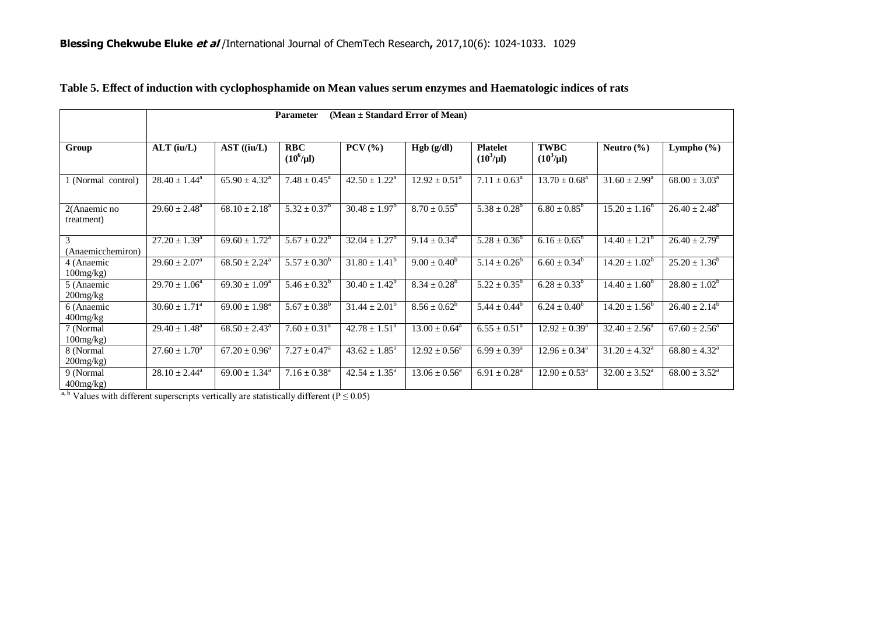|                            | (Mean $\pm$ Standard Error of Mean)<br>Parameter |                             |                                       |                                     |                          |                                   |                               |                          |                             |  |
|----------------------------|--------------------------------------------------|-----------------------------|---------------------------------------|-------------------------------------|--------------------------|-----------------------------------|-------------------------------|--------------------------|-----------------------------|--|
|                            |                                                  |                             |                                       |                                     |                          |                                   |                               |                          |                             |  |
| Group                      | $ALT$ (iu/L)                                     | AST ((iu/L)                 | <b>RBC</b><br>$(10^6/\mu l)$          | $PCV$ (%)                           | Hgb (g/dl)               | <b>Platelet</b><br>$(10^3/\mu l)$ | <b>TWBC</b><br>$(10^3/\mu l)$ | Neutro $(\% )$           | Lympho $(\% )$              |  |
| 1 (Normal control)         | $28.40 \pm 1.44^a$                               | $65.90 \pm 4.32^{\circ}$    | $7.48 \pm 0.45^{\circ}$               | $42.50 \pm 1.22^a$                  | $12.92 \pm 0.51^{\circ}$ | $7.11 \pm 0.63^{\circ}$           | $13.70 \pm 0.68^{\text{a}}$   | $31.60 \pm 2.99^{\circ}$ | $68.00 \pm 3.03^{\circ}$    |  |
| 2(Anaemic no<br>treatment) | $29.60 \pm 2.48^a$                               | $68.10 \pm 2.18^{\text{a}}$ | $5.32 \pm 0.37^b$                     | $30.48 \pm 1.97^b$                  | $8.70 \pm 0.55^b$        | $5.38 \pm 0.28^b$                 | $6.80 \pm 0.85^b$             | $15.20 \pm 1.16^b$       | $26.40 \pm 2.48^b$          |  |
| 3<br>(Anaemicchemiron)     | $27.20 \pm 1.39^{\circ}$                         | $69.60 \pm 1.72^{\text{a}}$ | $5.67 \pm 0.22^b$                     | $32.04 \pm 1.27^b$                  | $9.14 \pm 0.34^b$        | $5.28 \pm 0.36^b$                 | $6.16 \pm 0.65^b$             | $14.40 \pm 1.21^b$       | $26.40 \pm 2.79^b$          |  |
| 4 (Anaemic<br>100mg/kg     | $29.60 \pm 2.07^{\circ}$                         | $68.50 \pm 2.24^{\circ}$    | $5.57 \pm 0.30^b$                     | $31.80 \pm 1.41^b$                  | $9.00 \pm 0.40^b$        | $5.14 \pm 0.26^b$                 | $6.60 \pm 0.34^b$             | $14.20 \pm 1.02^b$       | $25.20 \pm 1.36^b$          |  |
| 5 (Anaemic<br>$200$ mg/kg  | $29.70 \pm 1.06^a$                               | $69.30 \pm 1.09^{\circ}$    | $5.46 \pm 0.32^b$                     | $30.40 \pm 1.42^b$                  | $8.34 \pm 0.28^b$        | $5.22 \pm 0.35^{\circ}$           | $6.28 \pm 0.33^{b}$           | $14.40 \pm 1.60^b$       | $28.80 \pm 1.02^b$          |  |
| 6 (Anaemic<br>400mg/kg     | $30.60 \pm 1.71^{\circ}$                         | $69.00 \pm 1.98^{\text{a}}$ | $5.67 \pm 0.38^b$                     | $31.44 \pm 2.01^b$                  | $8.56 \pm 0.62^b$        | $5.44 \pm 0.44^b$                 | $6.24 \pm 0.40^b$             | $14.20 \pm 1.56^{\circ}$ | $26.40 \pm 2.14^b$          |  |
| 7 (Normal<br>100mg/kg      | $29.40 \pm 1.48^{\circ}$                         | $68.50 \pm 2.43^{\circ}$    | $7.60 \pm 0.31^{\circ}$               | $42.78 \pm 1.51^{\circ}$            | $13.00 \pm 0.64^a$       | $6.55 \pm 0.51^{\circ}$           | $12.92 \pm 0.39^{\circ}$      | $32.40 \pm 2.56^{\circ}$ | $67.60 \pm 2.56^{\circ}$    |  |
| 8 (Normal<br>$200$ mg/kg)  | $27.60 \pm 1.70^a$                               | $67.20 \pm 0.96^a$          | $\overline{7.27 \pm 0.47^{\text{a}}}$ | $\overline{43.62} \pm 1.85^{\circ}$ | $12.92 \pm 0.56^a$       | $6.99 \pm 0.39^{\rm a}$           | $12.96 \pm 0.34^a$            | $31.20 \pm 4.32^a$       | $68.80 \pm 4.32^{\text{a}}$ |  |
| 9 (Normal<br>$400$ mg/kg)  | $28.10 \pm 2.44^{\circ}$                         | $69.00 \pm 1.34^{\circ}$    | $7.16 \pm 0.38^{\text{a}}$            | $42.54 \pm 1.35^{\circ}$            | $13.06 \pm 0.56^{\circ}$ | $6.91 \pm 0.28^{\text{a}}$        | $12.90 \pm 0.53^{\circ}$      | $32.00 \pm 3.52^{\circ}$ | $68.00 \pm 3.52^{\text{a}}$ |  |

|  | Table 5. Effect of induction with cyclophosphamide on Mean values serum enzymes and Haematologic indices of rats |  |
|--|------------------------------------------------------------------------------------------------------------------|--|
|  |                                                                                                                  |  |

a, b Values with different superscripts vertically are statistically different ( $P \le 0.05$ )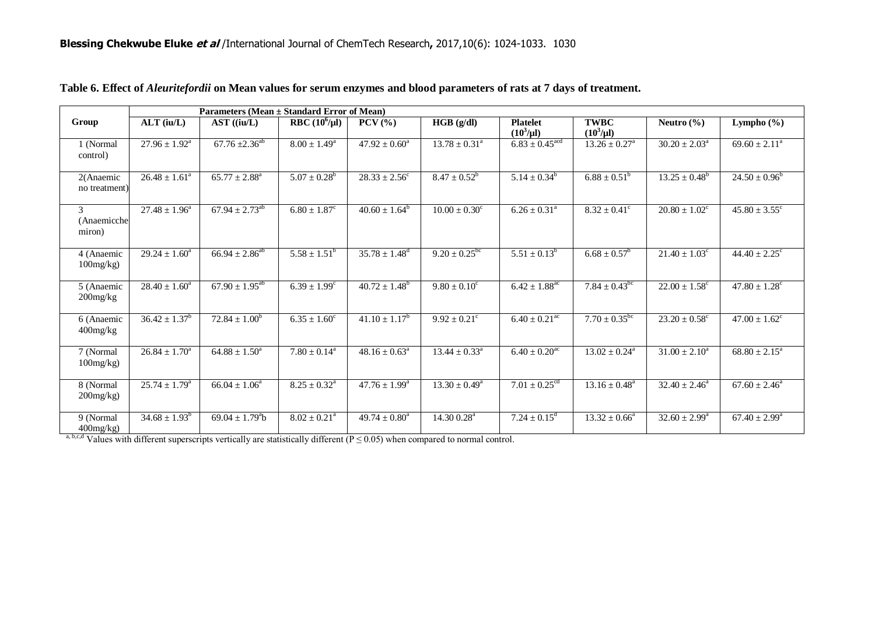|                            | Parameters (Mean ± Standard Error of Mean) |                             |                            |                                  |                            |                                   |                               |                               |                               |  |  |
|----------------------------|--------------------------------------------|-----------------------------|----------------------------|----------------------------------|----------------------------|-----------------------------------|-------------------------------|-------------------------------|-------------------------------|--|--|
| Group                      | $ALT$ (iu/L)                               | $AST$ ((iu/L)               | <b>RBC</b> $(10^6/\mu l)$  | $PCV$ $\left(\frac{9}{6}\right)$ | HGB (g/dl)                 | <b>Platelet</b><br>$(10^3/\mu l)$ | <b>TWBC</b><br>$(10^3/\mu l)$ | Neutro $(\% )$                | Lympho $(\% )$                |  |  |
| 1 (Normal<br>control)      | $27.96 \pm 1.92^{\text{a}}$                | $67.76 \pm 2.36^{ab}$       | $8.00 \pm 1.49^{\circ}$    | $47.92 \pm 0.60^{\circ}$         | $13.78 \pm 0.31^{\circ}$   | $6.83 \pm 0.45$ <sup>acd</sup>    | $13.26 \pm 0.27^{\circ}$      | $30.20 \pm 2.03^{\circ}$      | $69.60 \pm 2.11^{\text{a}}$   |  |  |
| 2(Anaemic<br>no treatment) | $26.48 \pm 1.61^{\circ}$                   | $65.77 \pm 2.88^{\text{a}}$ | $5.07 \pm 0.28^b$          | $28.33 \pm 2.56^{\circ}$         | $8.47 \pm 0.52^b$          | $5.14 \pm 0.34^b$                 | $6.88 \pm 0.51^b$             | $13.25 \pm 0.48^b$            | $24.50 \pm 0.96^b$            |  |  |
| 3<br>(Anaemicche<br>miron) | $27.48 \pm 1.96^a$                         | $67.94 \pm 2.73^{ab}$       | $6.80 \pm 1.87^c$          | $40.60 \pm 1.64^b$               | $10.00 \pm 0.30^c$         | $6.26 \pm 0.31^{\circ}$           | $8.32 \pm 0.41^{\circ}$       | $20.80 \pm 1.02^{\circ}$      | $45.80 \pm 3.55$ <sup>c</sup> |  |  |
| 4 (Anaemic<br>100mg/kg     | $29.24 \pm 1.60^{\circ}$                   | $66.94 \pm 2.86^{ab}$       | $5.58 \pm 1.51^b$          | $35.78 \pm 1.48^d$               | $9.20 \pm 0.25^{\rm bc}$   | $5.51 \pm 0.13^b$                 | $6.68 \pm 0.57^b$             | $21.40 \pm 1.03^c$            | $44.40 \pm 2.25$ <sup>c</sup> |  |  |
| 5 (Anaemic<br>200mg/kg     | $28.40 \pm 1.60^a$                         | $67.90 \pm 1.95^{ab}$       | $6.39 \pm 1.99^c$          | $40.72 \pm 1.48^b$               | $9.80 \pm 0.10^{\circ}$    | $6.42 \pm 1.88$ <sup>ac</sup>     | $7.84 \pm 0.43^{\rm bc}$      | $22.00 \pm 1.58$ <sup>c</sup> | $47.80 \pm 1.28$ <sup>c</sup> |  |  |
| 6 (Anaemic<br>400mg/kg     | $36.42 \pm 1.37^b$                         | $72.84 \pm 1.00^b$          | $6.35 \pm 1.60^c$          | $41.10 \pm 1.17^b$               | $9.92 \pm 0.21^{\circ}$    | $6.40 \pm 0.21$ <sup>ac</sup>     | $7.70 \pm 0.35^{\rm bc}$      | $23.20 \pm 0.58^c$            | $47.00 \pm 1.62$ <sup>c</sup> |  |  |
| 7 (Normal<br>100mg/kg      | $26.84 \pm 1.70^a$                         | $64.88 \pm 1.50^{\circ}$    | $7.80 \pm 0.14^{\text{a}}$ | $48.16 \pm 0.63^{\circ}$         | $13.44 \pm 0.33^{\circ}$   | $6.40 \pm 0.20$ <sup>ac</sup>     | $13.02 \pm 0.24^{\circ}$      | $31.00 \pm 2.10^a$            | $68.80 \pm 2.15^{\circ}$      |  |  |
| 8 (Normal<br>$200$ mg/kg)  | $25.74 \pm 1.79^{\circ}$                   | $66.04 \pm 1.06^a$          | $8.25 \pm 0.32^{\text{a}}$ | $47.76 \pm 1.99^{\rm a}$         | $13.30 \pm 0.49^{\circ}$   | $7.01 \pm 0.25$ <sup>cd</sup>     | $13.16 \pm 0.48^{\text{a}}$   | $32.40 \pm 2.46^{\circ}$      | $67.60 \pm 2.46^a$            |  |  |
| 9 (Normal<br>$400$ mg/kg)  | $34.68 \pm 1.93^b$                         | $69.04 \pm 1.79^{\circ}$ b  | $8.02 \pm 0.21^{\circ}$    | $49.74 \pm 0.80^a$               | $14.30\,0.28$ <sup>a</sup> | $7.24 \pm 0.15^{\text{d}}$        | $13.32 \pm 0.66^{\circ}$      | $32.60 \pm 2.99^{\circ}$      | $67.40 \pm 2.99^{\text{a}}$   |  |  |

## **Table 6. Effect of** *Aleuritefordii* **on Mean values for serum enzymes and blood parameters of rats at 7 days of treatment.**

a, b,c,d Values with different superscripts vertically are statistically different ( $P \le 0.05$ ) when compared to normal control.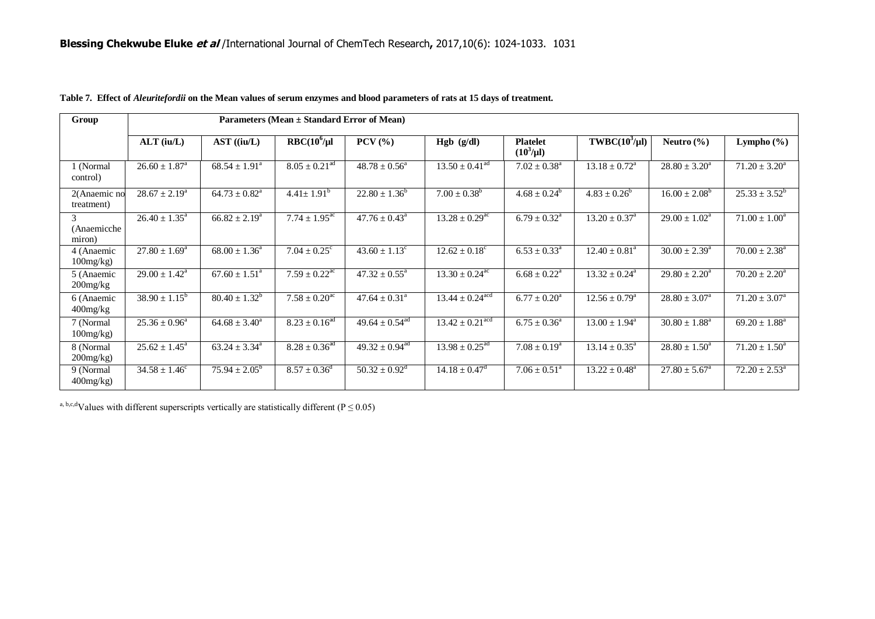| Group                                   | Parameters (Mean ± Standard Error of Mean) |                             |                               |                                |                                 |                                   |                                        |                             |                             |  |
|-----------------------------------------|--------------------------------------------|-----------------------------|-------------------------------|--------------------------------|---------------------------------|-----------------------------------|----------------------------------------|-----------------------------|-----------------------------|--|
|                                         | $ALT$ (iu/L)                               | $AST$ ((iu/L)               | $RBC(10^6/\mu)$               | $PCV$ $(\frac{9}{6})$          | Hgb (g/dl)                      | <b>Platelet</b><br>$(10^3/\mu l)$ | $TWBC(10^3/\mu l)$                     | Neutro $(\% )$              | Lympho $(\% )$              |  |
| 1 (Normal<br>control)                   | $26.60 \pm 1.87^{\text{a}}$                | $68.54 \pm 1.91^a$          | $8.05 \pm 0.21$ <sup>ad</sup> | $48.78 \pm 0.56^a$             | $13.50 \pm 0.41$ <sup>ad</sup>  | $7.02 \pm 0.38^a$                 | $13.18 \pm 0.72^a$                     | $28.80 \pm 3.20^a$          | $71.20 \pm 3.20^a$          |  |
| 2(Anaemic no<br>treatment)              | $28.67 \pm 2.19^a$                         | $64.73 \pm 0.82^{\text{a}}$ | $4.41 \pm 1.91^b$             | $22.80 \pm 1.36^b$             | $7.00 \pm 0.38^b$               | $4.68 \pm 0.24^b$                 | $4.83 \pm 0.26^b$                      | $16.00 \pm 2.08^b$          | $25.33 \pm 3.52^b$          |  |
| $\mathcal{R}$<br>(Anaemicche)<br>miron) | $26.40 \pm 1.35^{\circ}$                   | $66.82 \pm 2.19^{\circ}$    | $7.74 \pm 1.95^{\text{ac}}$   | $47.76 \pm 0.43^{\circ}$       | $13.28 \pm 0.29$ <sup>ac</sup>  | $6.79 \pm 0.32^{\text{a}}$        | $13.20 \pm 0.37^{\text{a}}$            | $29.00 \pm 1.02^{\text{a}}$ | $71.00 \pm 1.00^{\circ}$    |  |
| 4 (Anaemic<br>$100$ mg/kg)              | $27.80 \pm 1.69^{\circ}$                   | $68.00 \pm 1.36^{\circ}$    | $7.04 \pm 0.25^{\circ}$       | $43.60 \pm 1.13^{\circ}$       | $12.62 \pm 0.18^c$              | $6.53 \pm 0.33^{\text{a}}$        | $\overline{12.40} \pm 0.81^{\text{a}}$ | $30.00 \pm 2.39^{\text{a}}$ | $70.00 \pm 2.38^{\text{a}}$ |  |
| 5 (Anaemic<br>$200$ mg/ $kg$            | $29.00 \pm 1.42^{\text{a}}$                | $67.60 \pm 1.51^{\circ}$    | $7.59 \pm 0.22$ <sup>ac</sup> | $47.32 \pm 0.55^{\circ}$       | $13.30 \pm 0.24$ <sup>ac</sup>  | $6.68 \pm 0.22^{\text{a}}$        | $13.32 \pm 0.24^{\text{a}}$            | $29.80 \pm 2.20^a$          | $70.20 \pm 2.20^{\circ}$    |  |
| 6 (Anaemic<br>$400$ mg/ $kg$            | $38.90 \pm 1.15^{b}$                       | $80.40 \pm 1.32^b$          | $7.58 \pm 0.20$ <sup>ac</sup> | $47.64 \pm 0.31^{\circ}$       | $13.44 \pm 0.24$ <sup>acd</sup> | $6.77 \pm 0.20^{\circ}$           | $12.56 \pm 0.79^{\circ}$               | $28.80 \pm 3.07^{\circ}$    | $71.20 \pm 3.07^{\circ}$    |  |
| 7 (Normal<br>100mg/kg                   | $25.36 \pm 0.96^{\circ}$                   | $64.68 \pm 3.40^{\circ}$    | $8.23 \pm 0.16^{ad}$          | $49.64 \pm 0.54$ <sup>ad</sup> | $13.42 \pm 0.21^{\text{acd}}$   | $6.75 \pm 0.36^{\circ}$           | $13.00 \pm 1.94^{\text{a}}$            | $30.80 \pm 1.88^{\circ}$    | $69.20 \pm 1.88^{\text{a}}$ |  |
| 8 (Normal<br>$200$ mg/kg $)$            | $25.62 \pm 1.45^{\circ}$                   | $63.24 \pm 3.34^{\circ}$    | $8.28 \pm 0.36$ <sup>ad</sup> | $49.32 \pm 0.94$ <sup>ad</sup> | $13.98 \pm 0.25$ <sup>ad</sup>  | $7.08 \pm 0.19^{\rm a}$           | $13.14 \pm 0.35^{\text{a}}$            | $28.80 \pm 1.50^a$          | $71.20 \pm 1.50^a$          |  |
| 9 (Normal)<br>$400$ mg/kg)              | $34.58 \pm 1.\overline{46^c}$              | $75.94 \pm 2.05^{\rm b}$    | $8.57 \pm 0.36^{\circ}$       | $50.32 \pm 0.92^{\text{d}}$    | $14.18 \pm 0.47$ <sup>d</sup>   | $7.06 \pm 0.51^a$                 | $13.22 \pm 0.48^{\circ}$               | $27.80 \pm 5.67^{\circ}$    | $72.20 \pm 2.53^{\circ}$    |  |

a, b,c,dValues with different superscripts vertically are statistically different ( $P \le 0.05$ )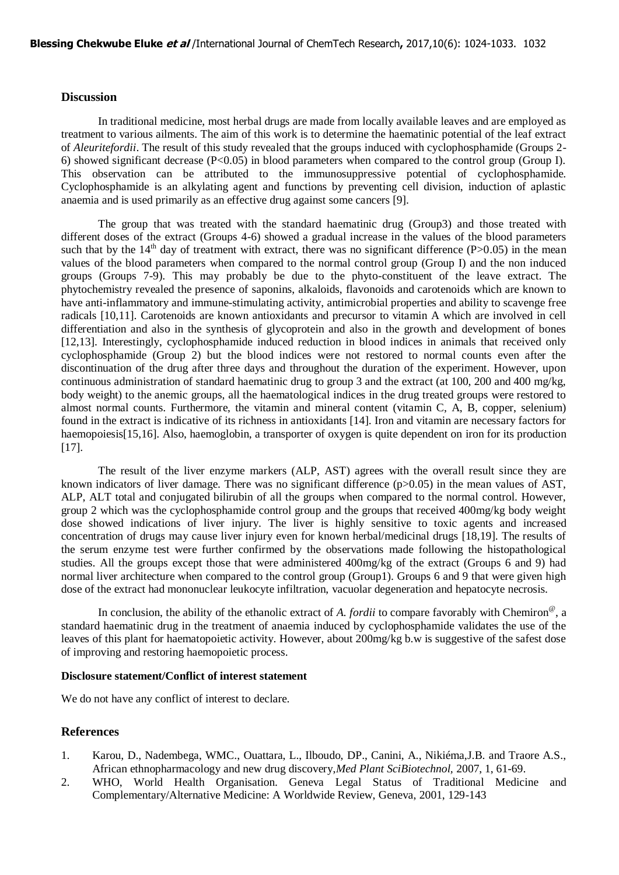## **Discussion**

In traditional medicine, most herbal drugs are made from locally available leaves and are employed as treatment to various ailments. The aim of this work is to determine the haematinic potential of the leaf extract of *Aleuritefordii*. The result of this study revealed that the groups induced with cyclophosphamide (Groups 2- 6) showed significant decrease  $(P<0.05)$  in blood parameters when compared to the control group (Group I). This observation can be attributed to the immunosuppressive potential of cyclophosphamide. Cyclophosphamide is an alkylating agent and functions by preventing cell division, induction of aplastic anaemia and is used primarily as an effective drug against some cancers [9].

The group that was treated with the standard haematinic drug (Group3) and those treated with different doses of the extract (Groups 4-6) showed a gradual increase in the values of the blood parameters such that by the  $14<sup>th</sup>$  day of treatment with extract, there was no significant difference (P>0.05) in the mean values of the blood parameters when compared to the normal control group (Group I) and the non induced groups (Groups 7-9). This may probably be due to the phyto-constituent of the leave extract. The phytochemistry revealed the presence of saponins, alkaloids, flavonoids and carotenoids which are known to have anti-inflammatory and [immune-](http://www.raysahelian.com/immune.html)stimulating activity, antimicrobial properties and ability to scavenge free radicals [10,11]. Carotenoids are known antioxidants and precursor to vitamin A which are involved in cell differentiation and also in the synthesis of glycoprotein and also in the growth and development of bones [12,13]. Interestingly, cyclophosphamide induced reduction in blood indices in animals that received only cyclophosphamide (Group 2) but the blood indices were not restored to normal counts even after the discontinuation of the drug after three days and throughout the duration of the experiment. However, upon continuous administration of standard haematinic drug to group 3 and the extract (at 100, 200 and 400 mg/kg, body weight) to the anemic groups, all the haematological indices in the drug treated groups were restored to almost normal counts. Furthermore, the vitamin and mineral content (vitamin C, A, B, copper, selenium) found in the extract is indicative of its richness in antioxidants [14]. Iron and vitamin are necessary factors for haemopoiesis[15,16]. Also, haemoglobin, a transporter of oxygen is quite dependent on iron for its production [17].

The result of the liver enzyme markers (ALP, AST) agrees with the overall result since they are known indicators of liver damage. There was no significant difference  $(p>0.05)$  in the mean values of AST, ALP, ALT total and conjugated bilirubin of all the groups when compared to the normal control. However, group 2 which was the cyclophosphamide control group and the groups that received 400mg/kg body weight dose showed indications of liver injury. The liver is highly sensitive to toxic agents and increased concentration of drugs may cause liver injury even for known herbal/medicinal drugs [18,19]. The results of the serum enzyme test were further confirmed by the observations made following the histopathological studies. All the groups except those that were administered 400mg/kg of the extract (Groups 6 and 9) had normal liver architecture when compared to the control group (Group1). Groups 6 and 9 that were given high dose of the extract had mononuclear leukocyte infiltration, vacuolar degeneration and hepatocyte necrosis.

In conclusion, the ability of the ethanolic extract of *A. fordii* to compare favorably with Chemiron<sup>®</sup>, a standard haematinic drug in the treatment of anaemia induced by cyclophosphamide validates the use of the leaves of this plant for haematopoietic activity. However, about 200mg/kg b.w is suggestive of the safest dose of improving and restoring haemopoietic process.

#### **Disclosure statement/Conflict of interest statement**

We do not have any conflict of interest to declare.

#### **References**

- 1. Karou, D., Nadembega, WMC., Ouattara, L., Ilboudo, DP., Canini, A., Nikiéma,J.B. and Traore A.S., African ethnopharmacology and new drug discovery,*Med Plant SciBiotechnol,* 2007, 1, 61-69.
- 2. WHO, World Health Organisation. Geneva Legal Status of Traditional Medicine and Complementary/Alternative Medicine: A Worldwide Review, Geneva, 2001, 129-143